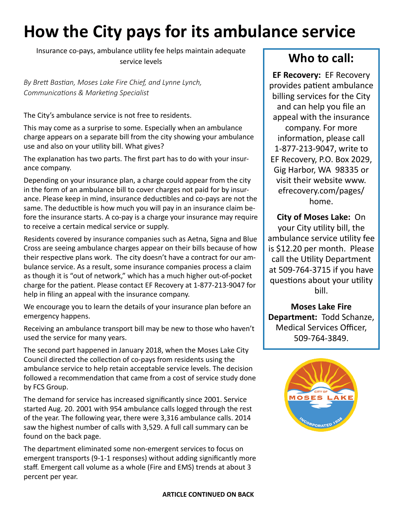## **How the City pays for its ambulance service**

Insurance co-pays, ambulance utility fee helps maintain adequate service levels

*By Brett Bastian, Moses Lake Fire Chief, and Lynne Lynch, Communications & Marketing Specialist*

The City's ambulance service is not free to residents.

This may come as a surprise to some. Especially when an ambulance charge appears on a separate bill from the city showing your ambulance use and also on your utility bill. What gives?

The explanation has two parts. The first part has to do with your insurance company.

Depending on your insurance plan, a charge could appear from the city in the form of an ambulance bill to cover charges not paid for by insurance. Please keep in mind, insurance deductibles and co-pays are not the same. The deductible is how much you will pay in an insurance claim before the insurance starts. A co-pay is a charge your insurance may require to receive a certain medical service or supply.

Residents covered by insurance companies such as Aetna, Signa and Blue Cross are seeing ambulance charges appear on their bills because of how their respective plans work. The city doesn't have a contract for our ambulance service. As a result, some insurance companies process a claim as though it is "out of network," which has a much higher out-of-pocket charge for the patient. Please contact EF Recovery at 1-877-213-9047 for help in filing an appeal with the insurance company.

We encourage you to learn the details of your insurance plan before an emergency happens.

Receiving an ambulance transport bill may be new to those who haven't used the service for many years.

The second part happened in January 2018, when the Moses Lake City Council directed the collection of co-pays from residents using the ambulance service to help retain acceptable service levels. The decision followed a recommendation that came from a cost of service study done by FCS Group.

The demand for service has increased significantly since 2001. Service started Aug. 20. 2001 with 954 ambulance calls logged through the rest of the year. The following year, there were 3,316 ambulance calls. 2014 saw the highest number of calls with 3,529. A full call summary can be found on the back page.

The department eliminated some non-emergent services to focus on emergent transports (9-1-1 responses) without adding significantly more staff. Emergent call volume as a whole (Fire and EMS) trends at about 3 percent per year.

## **Who to call:**

**EF Recovery:** EF Recovery provides patient ambulance billing services for the City and can help you file an appeal with the insurance company. For more information, please call 1-877-213-9047, write to EF Recovery, P.O. Box 2029, Gig Harbor, WA 98335 or visit their website www. efrecovery.com/pages/ home.

**City of Moses Lake:** On your City utility bill, the ambulance service utility fee is \$12.20 per month. Please call the Utility Department at 509-764-3715 if you have questions about your utility bill.

**Moses Lake Fire Department:** Todd Schanze, Medical Services Officer, 509-764-3849.